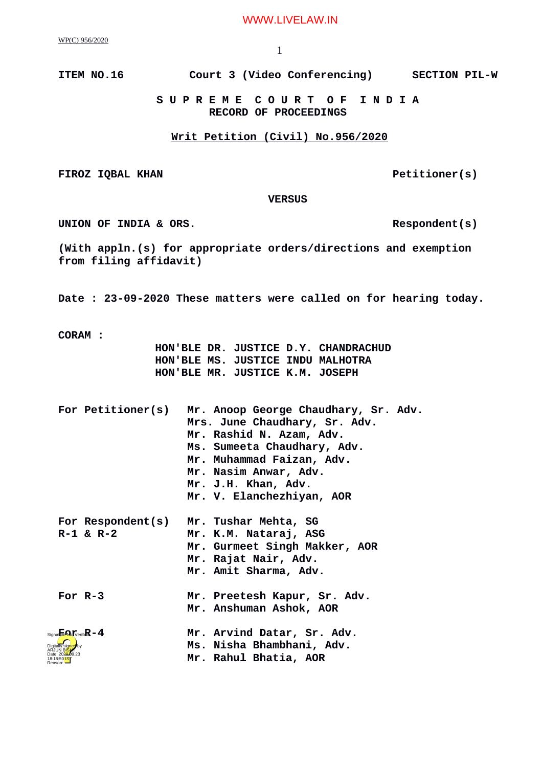WWW.LIVELAW.IN

WP(C) 956/2020

**ITEM NO.16 Court 3 (Video Conferencing) SECTION PIL-W**

 **S U P R E M E C O U R T O F I N D I A RECORD OF PROCEEDINGS**

## **Writ Petition (Civil) No.956/2020**

FIROZ IQBAL KHAN **PETITIONER** PETITIONER(S)

 **VERSUS**

UNION OF INDIA & ORS.

**(With appln.(s) for appropriate orders/directions and exemption from filing affidavit)**

**Date : 23-09-2020 These matters were called on for hearing today.**

**CORAM :** 

 **HON'BLE DR. JUSTICE D.Y. CHANDRACHUD HON'BLE MS. JUSTICE INDU MALHOTRA HON'BLE MR. JUSTICE K.M. JOSEPH**

| For Petitioner(s)                      | Mr. Anoop George Chaudhary, Sr. Adv.<br>Mrs. June Chaudhary, Sr. Adv.<br>Mr. Rashid N. Azam, Adv.<br>Ms. Sumeeta Chaudhary, Adv.<br>Mr. Muhammad Faizan, Adv.<br>Mr. Nasim Anwar, Adv.<br>Mr. J.H. Khan, Adv.<br>Mr. V. Elanchezhiyan, AOR |
|----------------------------------------|--------------------------------------------------------------------------------------------------------------------------------------------------------------------------------------------------------------------------------------------|
| For Respondent(s)<br>R-1 & R-2         | Mr. Tushar Mehta, SG<br>Mr. K.M. Nataraj, ASG<br>Mr. Gurmeet Singh Makker, AOR<br>Mr. Rajat Nair, Adv.<br>Mr. Amit Sharma, Adv.                                                                                                            |
| For $R-3$                              | Mr. Preetesh Kapur, Sr. Adv.<br>Mr. Anshuman Ashok, AOR                                                                                                                                                                                    |
| $Signa$ <b>Fend</b> $pi$ erifi $R - 4$ | Mr. Arvind Datar, Sr. Adv.<br>Ms. Nisha Bhambhani, Adv.<br>Mr. Rahul Bhatia, AOR                                                                                                                                                           |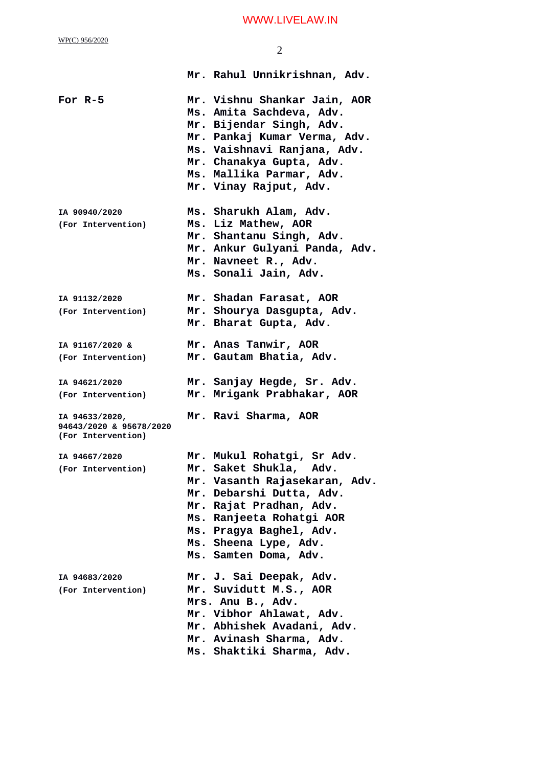WWW.LIVELAW.IN

| WP(C) 956/2020                                                  | 2                                                                                                                                                                                                                                                     |
|-----------------------------------------------------------------|-------------------------------------------------------------------------------------------------------------------------------------------------------------------------------------------------------------------------------------------------------|
|                                                                 | Mr. Rahul Unnikrishnan, Adv.                                                                                                                                                                                                                          |
| For $R-5$                                                       | Mr. Vishnu Shankar Jain, AOR<br>Ms. Amita Sachdeva, Adv.<br>Mr. Bijendar Singh, Adv.<br>Mr. Pankaj Kumar Verma, Adv.<br>Ms. Vaishnavi Ranjana, Adv.<br>Mr. Chanakya Gupta, Adv.<br>Ms. Mallika Parmar, Adv.<br>Mr. Vinay Rajput, Adv.                 |
| IA 90940/2020<br>(For Intervention)                             | Ms. Sharukh Alam, Adv.<br>Ms. Liz Mathew, AOR<br>Mr. Shantanu Singh, Adv.<br>Mr. Ankur Gulyani Panda, Adv.<br>Mr. Navneet R., Adv.<br>Ms. Sonali Jain, Adv.                                                                                           |
| IA 91132/2020<br>(For Intervention)                             | Mr. Shadan Farasat, AOR<br>Mr. Shourya Dasgupta, Adv.<br>Mr. Bharat Gupta, Adv.                                                                                                                                                                       |
| IA 91167/2020 &<br>(For Intervention)                           | Mr. Anas Tanwir, AOR<br>Mr. Gautam Bhatia, Adv.                                                                                                                                                                                                       |
| IA 94621/2020<br>(For Intervention)                             | Mr. Sanjay Hegde, Sr. Adv.<br>Mr. Mrigank Prabhakar, AOR                                                                                                                                                                                              |
| IA 94633/2020,<br>94643/2020 & 95678/2020<br>(For Intervention) | Mr. Ravi Sharma, AOR                                                                                                                                                                                                                                  |
| IA 94667/2020<br>(For Intervention)                             | Mr. Mukul Rohatgi, Sr Adv.<br>Mr. Saket Shukla, Adv.<br>Mr. Vasanth Rajasekaran, Adv.<br>Mr. Debarshi Dutta, Adv.<br>Mr. Rajat Pradhan, Adv.<br>Ms. Ranjeeta Rohatgi AOR<br>Ms. Pragya Baghel, Adv.<br>Ms. Sheena Lype, Adv.<br>Ms. Samten Doma, Adv. |
| IA 94683/2020<br>(For Intervention)                             | Mr. J. Sai Deepak, Adv.<br>Mr. Suvidutt M.S., AOR<br>Mrs. Anu B., Adv.<br>Mr. Vibhor Ahlawat, Adv.<br>Mr. Abhishek Avadani, Adv.<br>Mr. Avinash Sharma, Adv.<br>Ms. Shaktiki Sharma, Adv.                                                             |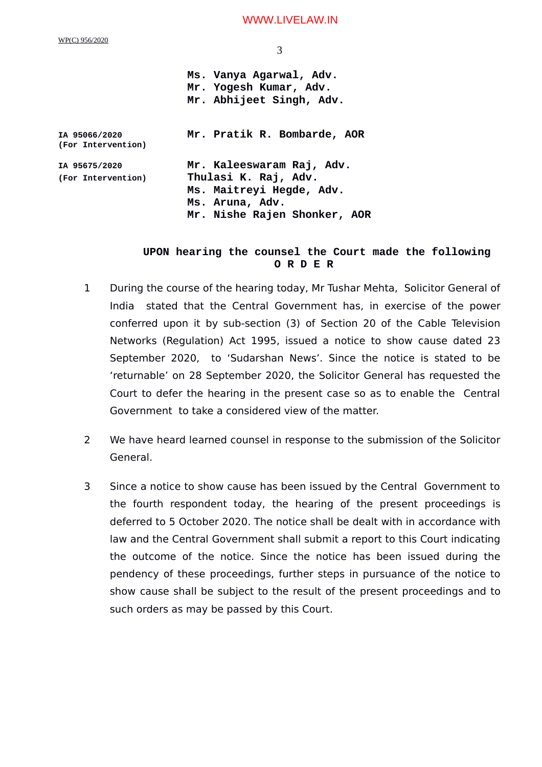## WWW.LIVELAW.IN

|                                     | Ms. Vanya Agarwal, Adv.<br>Mr. Yogesh Kumar, Adv.<br>Mr. Abhijeet Singh, Adv. |
|-------------------------------------|-------------------------------------------------------------------------------|
| IA 95066/2020<br>(For Intervention) | Mr. Pratik R. Bombarde, AOR                                                   |
| IA 95675/2020                       | Mr. Kaleeswaram Raj, Adv.                                                     |
| (For Intervention)                  | Thulasi K. Raj, Adv.                                                          |
|                                     | Ms. Maitreyi Hegde, Adv.                                                      |
|                                     | Ms. Aruna, Adv.                                                               |
|                                     | Mr. Nishe Rajen Shonker, AOR                                                  |
|                                     |                                                                               |

## **UPON hearing the counsel the Court made the following O R D E R**

- 1 During the course of the hearing today, Mr Tushar Mehta, Solicitor General of India stated that the Central Government has, in exercise of the power conferred upon it by sub-section (3) of Section 20 of the Cable Television Networks (Regulation) Act 1995, issued a notice to show cause dated 23 September 2020, to 'Sudarshan News'. Since the notice is stated to be 'returnable' on 28 September 2020, the Solicitor General has requested the Court to defer the hearing in the present case so as to enable the Central Government to take a considered view of the matter.
- 2 We have heard learned counsel in response to the submission of the Solicitor General.
- 3 Since a notice to show cause has been issued by the Central Government to the fourth respondent today, the hearing of the present proceedings is deferred to 5 October 2020. The notice shall be dealt with in accordance with law and the Central Government shall submit a report to this Court indicating the outcome of the notice. Since the notice has been issued during the pendency of these proceedings, further steps in pursuance of the notice to show cause shall be subject to the result of the present proceedings and to such orders as may be passed by this Court.